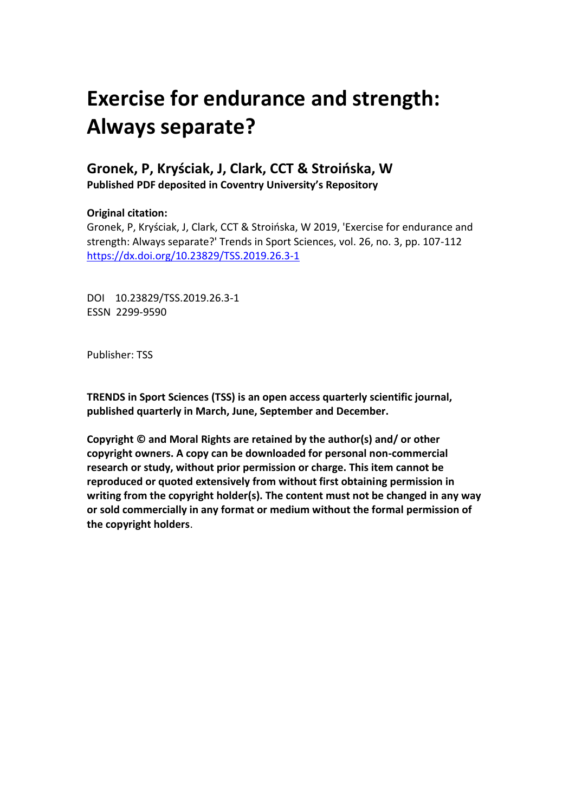# **Exercise for endurance and strength: Always separate?**

## **Gronek, P, Kryściak, J, Clark, CCT & Stroińska, W Published PDF deposited in Coventry University's Repository**

### **Original citation:**

Gronek, P, Kryściak, J, Clark, CCT & Stroińska, W 2019, 'Exercise for endurance and strength: Always separate?' Trends in Sport Sciences, vol. 26, no. 3, pp. 107-112 https://dx.doi.org/10.23829/TSS.2019.26.3-1

DOI 10.23829/TSS.2019.26.3-1 ESSN 2299-9590

Publisher: TSS

**TRENDS in Sport Sciences (TSS) is an open access quarterly scientific journal, published quarterly in March, June, September and December.**

**Copyright © and Moral Rights are retained by the author(s) and/ or other copyright owners. A copy can be downloaded for personal non-commercial research or study, without prior permission or charge. This item cannot be reproduced or quoted extensively from without first obtaining permission in writing from the copyright holder(s). The content must not be changed in any way or sold commercially in any format or medium without the formal permission of the copyright holders**.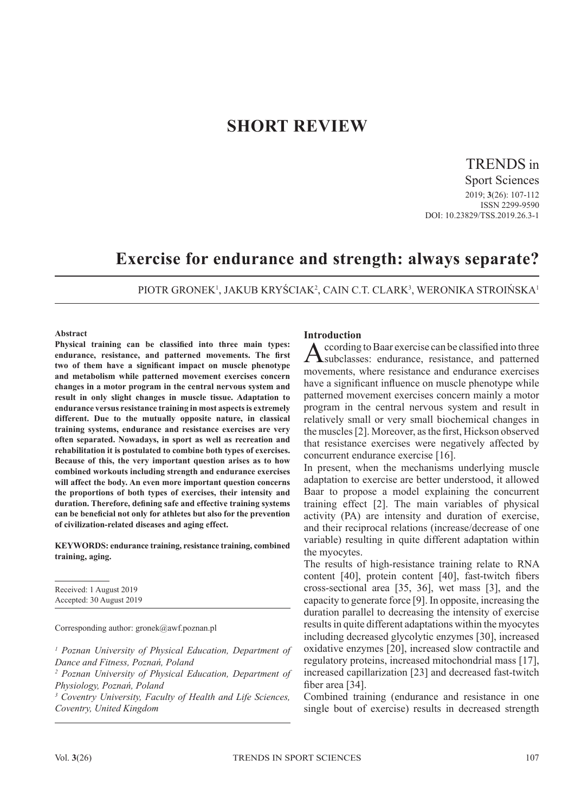## **SHORT REVIEW**

TRENDS in

Sport Sciences 2019; **3**(26): 107-112 ISSN 2299-9590 DOI: 10.23829/TSS.2019.26.3-1

# **Exercise for endurance and strength: always separate?**

PIOTR GRONEK<sup>1</sup>, JAKUB KRYŚCIAK<sup>2</sup>, CAIN C.T. CLARK<sup>3</sup>, WERONIKA STROIŃSKA<sup>1</sup>

#### **Abstract**

**Physical training can be classified into three main types: endurance, resistance, and patterned movements. The first two of them have a significant impact on muscle phenotype and metabolism while patterned movement exercises concern changes in a motor program in the central nervous system and result in only slight changes in muscle tissue. Adaptation to endurance versus resistance training in most aspects is extremely different. Due to the mutually opposite nature, in classical training systems, endurance and resistance exercises are very often separated. Nowadays, in sport as well as recreation and rehabilitation it is postulated to combine both types of exercises. Because of this, the very important question arises as to how combined workouts including strength and endurance exercises will affect the body. An even more important question concerns the proportions of both types of exercises, their intensity and duration. Therefore, defining safe and effective training systems can be beneficial not only for athletes but also for the prevention of civilization-related diseases and aging effect.**

**KEYWORDS: endurance training, resistance training, combined training, aging.**

Received: 1 August 2019 Accepted: 30 August 2019

Corresponding author: gronek@awf.poznan.pl

<sup>1</sup> Poznan University of Physical Education, Department of *Dance and Fitness, Poznań, Poland*

*2 Poznan University of Physical Education, Department of Physiology, Poznań, Poland*

*3 Coventry University, Faculty of Health and Life Sciences, Coventry, United Kingdom*

#### **Introduction**

According to Baar exercise can be classified into three subclasses: endurance, resistance, and patterned movements, where resistance and endurance exercises have a significant influence on muscle phenotype while patterned movement exercises concern mainly a motor program in the central nervous system and result in relatively small or very small biochemical changes in the muscles [2]. Moreover, as the first, Hickson observed that resistance exercises were negatively affected by concurrent endurance exercise [16].

In present, when the mechanisms underlying muscle adaptation to exercise are better understood, it allowed Baar to propose a model explaining the concurrent training effect [2]. The main variables of physical activity (PA) are intensity and duration of exercise, and their reciprocal relations (increase/decrease of one variable) resulting in quite different adaptation within the myocytes.

The results of high-resistance training relate to RNA content [40], protein content [40], fast-twitch fibers cross-sectional area [35, 36], wet mass [3], and the capacity to generate force [9]. In opposite, increasing the duration parallel to decreasing the intensity of exercise results in quite different adaptations within the myocytes including decreased glycolytic enzymes [30], increased oxidative enzymes [20], increased slow contractile and regulatory proteins, increased mitochondrial mass [17], increased capillarization [23] and decreased fast-twitch fiber area [34].

Combined training (endurance and resistance in one single bout of exercise) results in decreased strength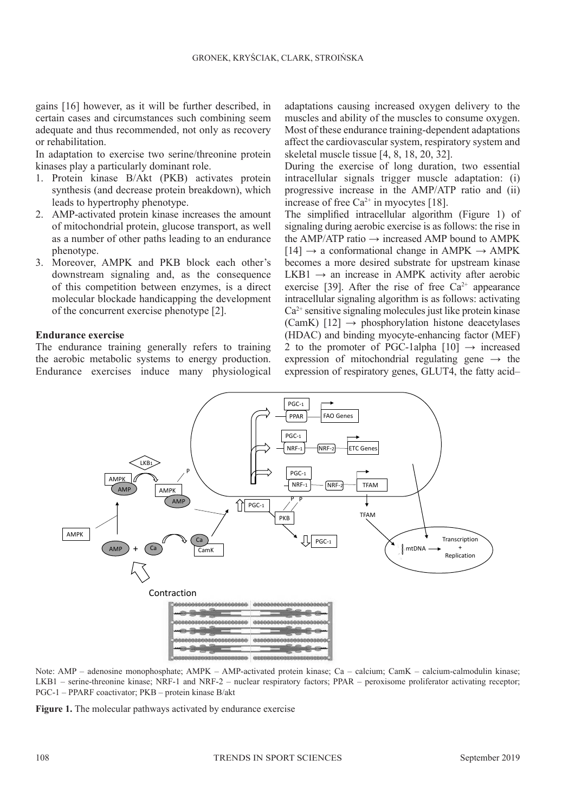gains [16] however, as it will be further described, in certain cases and circumstances such combining seem adequate and thus recommended, not only as recovery or rehabilitation.

In adaptation to exercise two serine/threonine protein kinases play a particularly dominant role.

- 1. Protein kinase B/Akt (PKB) activates protein synthesis (and decrease protein breakdown), which leads to hypertrophy phenotype.
- 2. AMP-activated protein kinase increases the amount of mitochondrial protein, glucose transport, as well as a number of other paths leading to an endurance phenotype.
- 3. Moreover, AMPK and PKB block each other's downstream signaling and, as the consequence of this competition between enzymes, is a direct molecular blockade handicapping the development of the concurrent exercise phenotype [2].

#### **Endurance exercise**

The endurance training generally refers to training the aerobic metabolic systems to energy production. Endurance exercises induce many physiological adaptations causing increased oxygen delivery to the muscles and ability of the muscles to consume oxygen. Most of these endurance training-dependent adaptations affect the cardiovascular system, respiratory system and skeletal muscle tissue [4, 8, 18, 20, 32].

During the exercise of long duration, two essential intracellular signals trigger muscle adaptation: (i) progressive increase in the AMP/ATP ratio and (ii) increase of free  $Ca^{2+}$  in myocytes [18].

The simplified intracellular algorithm (Figure 1) of signaling during aerobic exercise is as follows: the rise in the AMP/ATP ratio  $\rightarrow$  increased AMP bound to AMPK  $[14] \rightarrow$  a conformational change in AMPK  $\rightarrow$  AMPK becomes a more desired substrate for upstream kinase  $LKB1 \rightarrow$  an increase in AMPK activity after aerobic exercise [39]. After the rise of free  $Ca^{2+}$  appearance intracellular signaling algorithm is as follows: activating  $Ca<sup>2+</sup>$  sensitive signaling molecules just like protein kinase (CamK)  $[12] \rightarrow$  phosphorylation histone deacetylases (HDAC) and binding myocyte-enhancing factor (MEF) 2 to the promoter of PGC-1alpha  $[10] \rightarrow$  increased expression of mitochondrial regulating gene  $\rightarrow$  the expression of respiratory genes, GLUT4, the fatty acid–



Note: AMP – adenosine monophosphate; AMPK – AMP-activated protein kinase; Ca – calcium; CamK – calcium-calmodulin kinase; LKB1 – serine-threonine kinase; NRF-1 and NRF-2 – nuclear respiratory factors; PPAR – peroxisome proliferator activating receptor; PGC-1 – PPARF coactivator; PKB – protein kinase B/akt

**Figure 1.** The molecular pathways activated by endurance exercise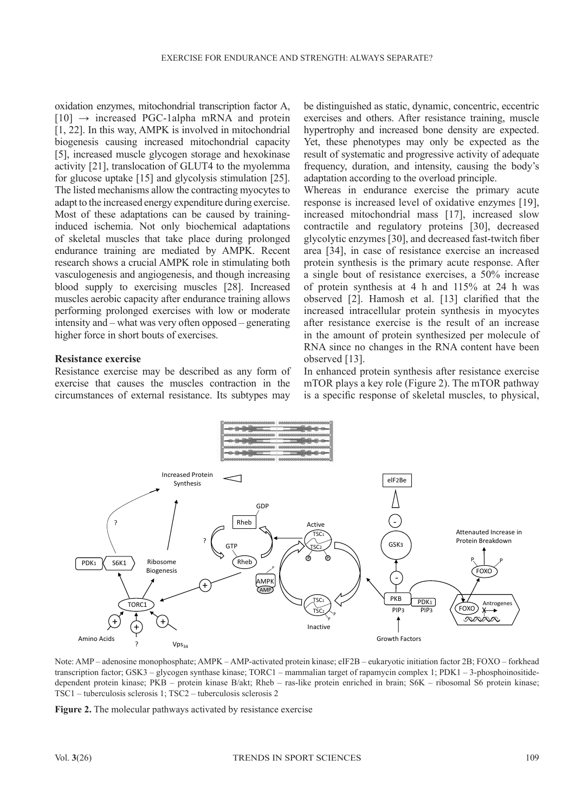oxidation enzymes, mitochondrial transcription factor A,  $[10] \rightarrow$  increased PGC-1alpha mRNA and protein [1, 22]. In this way, AMPK is involved in mitochondrial biogenesis causing increased mitochondrial capacity [5], increased muscle glycogen storage and hexokinase activity [21], translocation of GLUT4 to the myolemma for glucose uptake [15] and glycolysis stimulation [25]. The listed mechanisms allow the contracting myocytes to adapt to the increased energy expenditure during exercise. Most of these adaptations can be caused by traininginduced ischemia. Not only biochemical adaptations of skeletal muscles that take place during prolonged endurance training are mediated by AMPK. Recent research shows a crucial AMPK role in stimulating both vasculogenesis and angiogenesis, and though increasing blood supply to exercising muscles [28]. Increased muscles aerobic capacity after endurance training allows performing prolonged exercises with low or moderate intensity and – what was very often opposed – generating higher force in short bouts of exercises.

#### **Resistance exercise**

Resistance exercise may be described as any form of exercise that causes the muscles contraction in the circumstances of external resistance. Its subtypes may

be distinguished as static, dynamic, concentric, eccentric exercises and others. After resistance training, muscle hypertrophy and increased bone density are expected. Yet, these phenotypes may only be expected as the result of systematic and progressive activity of adequate frequency, duration, and intensity, causing the body's adaptation according to the overload principle.

Whereas in endurance exercise the primary acute response is increased level of oxidative enzymes [19], increased mitochondrial mass [17], increased slow contractile and regulatory proteins [30], decreased glycolytic enzymes [30], and decreased fast-twitch fiber area [34], in case of resistance exercise an increased protein synthesis is the primary acute response. After a single bout of resistance exercises, a 50% increase of protein synthesis at 4 h and 115% at 24 h was observed [2]. Hamosh et al. [13] clarified that the increased intracellular protein synthesis in myocytes after resistance exercise is the result of an increase in the amount of protein synthesized per molecule of RNA since no changes in the RNA content have been observed [13].

In enhanced protein synthesis after resistance exercise mTOR plays a key role (Figure 2). The mTOR pathway is a specific response of skeletal muscles, to physical,



Note: AMP – adenosine monophosphate; AMPK – AMP-activated protein kinase; eIF2B – eukaryotic initiation factor 2B; FOXO – forkhead transcription factor; GSK3 – glycogen synthase kinase; TORC1 – mammalian target of rapamycin complex 1; PDK1 – 3-phosphoinositidedependent protein kinase; PKB – protein kinase B/akt; Rheb – ras-like protein enriched in brain; S6K – ribosomal S6 protein kinase; TSC1 – tuberculosis sclerosis 1; TSC2 – tuberculosis sclerosis 2

**Figure 2.** The molecular pathways activated by resistance exercise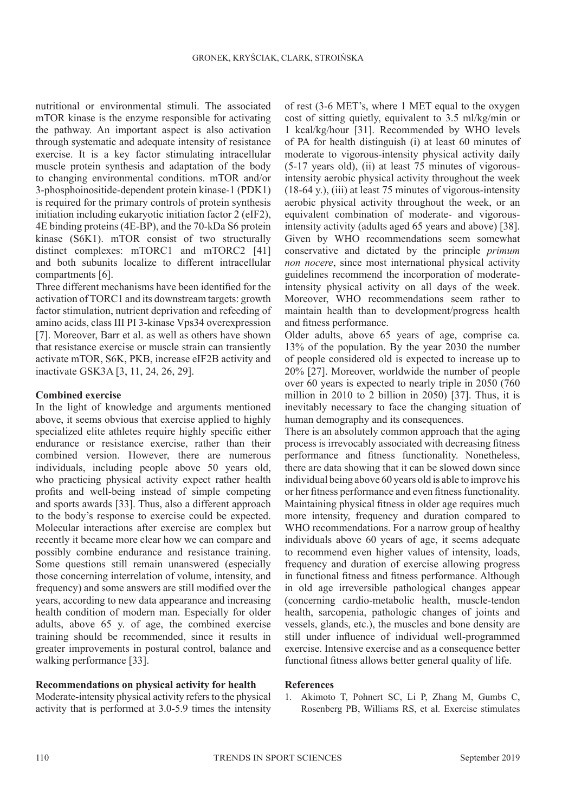nutritional or environmental stimuli. The associated mTOR kinase is the enzyme responsible for activating the pathway. An important aspect is also activation through systematic and adequate intensity of resistance exercise. It is a key factor stimulating intracellular muscle protein synthesis and adaptation of the body to changing environmental conditions. mTOR and/or 3-phosphoinositide-dependent protein kinase-1 (PDK1) is required for the primary controls of protein synthesis initiation including eukaryotic initiation factor 2 (eIF2), 4E binding proteins (4E-BP), and the 70-kDa S6 protein kinase (S6K1). mTOR consist of two structurally distinct complexes: mTORC1 and mTORC2 [41] and both subunits localize to different intracellular compartments [6].

Three different mechanisms have been identified for the activation of TORC1 and its downstream targets: growth factor stimulation, nutrient deprivation and refeeding of amino acids, class III PI 3-kinase Vps34 overexpression [7]. Moreover, Barr et al. as well as others have shown that resistance exercise or muscle strain can transiently activate mTOR, S6K, PKB, increase eIF2B activity and inactivate GSK3A [3, 11, 24, 26, 29].

#### **Combined exercise**

In the light of knowledge and arguments mentioned above, it seems obvious that exercise applied to highly specialized elite athletes require highly specific either endurance or resistance exercise, rather than their combined version. However, there are numerous individuals, including people above 50 years old, who practicing physical activity expect rather health profits and well-being instead of simple competing and sports awards [33]. Thus, also a different approach to the body's response to exercise could be expected. Molecular interactions after exercise are complex but recently it became more clear how we can compare and possibly combine endurance and resistance training. Some questions still remain unanswered (especially those concerning interrelation of volume, intensity, and frequency) and some answers are still modified over the years, according to new data appearance and increasing health condition of modern man. Especially for older adults, above 65 y. of age, the combined exercise training should be recommended, since it results in greater improvements in postural control, balance and walking performance [33].

#### **Recommendations on physical activity for health**

Moderate-intensity physical activity refers to the physical activity that is performed at 3.0-5.9 times the intensity of rest (3-6 MET's, where 1 MET equal to the oxygen cost of sitting quietly, equivalent to 3.5 ml/kg/min or 1 kcal/kg/hour [31]. Recommended by WHO levels of PA for health distinguish (i) at least 60 minutes of moderate to vigorous-intensity physical activity daily (5-17 years old), (ii) at least 75 minutes of vigorousintensity aerobic physical activity throughout the week (18-64 y.), (iii) at least 75 minutes of vigorous-intensity aerobic physical activity throughout the week, or an equivalent combination of moderate- and vigorousintensity activity (adults aged 65 years and above) [38]. Given by WHO recommendations seem somewhat conservative and dictated by the principle *primum non nocere*, since most international physical activity guidelines recommend the incorporation of moderateintensity physical activity on all days of the week. Moreover, WHO recommendations seem rather to maintain health than to development/progress health and fitness performance.

Older adults, above 65 years of age, comprise ca. 13% of the population. By the year 2030 the number of people considered old is expected to increase up to 20% [27]. Moreover, worldwide the number of people over 60 years is expected to nearly triple in 2050 (760 million in 2010 to 2 billion in 2050) [37]. Thus, it is inevitably necessary to face the changing situation of human demography and its consequences.

There is an absolutely common approach that the aging process is irrevocably associated with decreasing fitness performance and fitness functionality. Nonetheless, there are data showing that it can be slowed down since individual being above 60 years old is able to improve his or her fitness performance and even fitness functionality. Maintaining physical fitness in older age requires much more intensity, frequency and duration compared to WHO recommendations. For a narrow group of healthy individuals above 60 years of age, it seems adequate to recommend even higher values of intensity, loads, frequency and duration of exercise allowing progress in functional fitness and fitness performance. Although in old age irreversible pathological changes appear (concerning cardio-metabolic health, muscle-tendon health, sarcopenia, pathologic changes of joints and vessels, glands, etc.), the muscles and bone density are still under influence of individual well-programmed exercise. Intensive exercise and as a consequence better functional fitness allows better general quality of life.

#### **References**

1. Akimoto T, Pohnert SC, Li P, Zhang M, Gumbs C, Rosenberg PB, Williams RS, et al. Exercise stimulates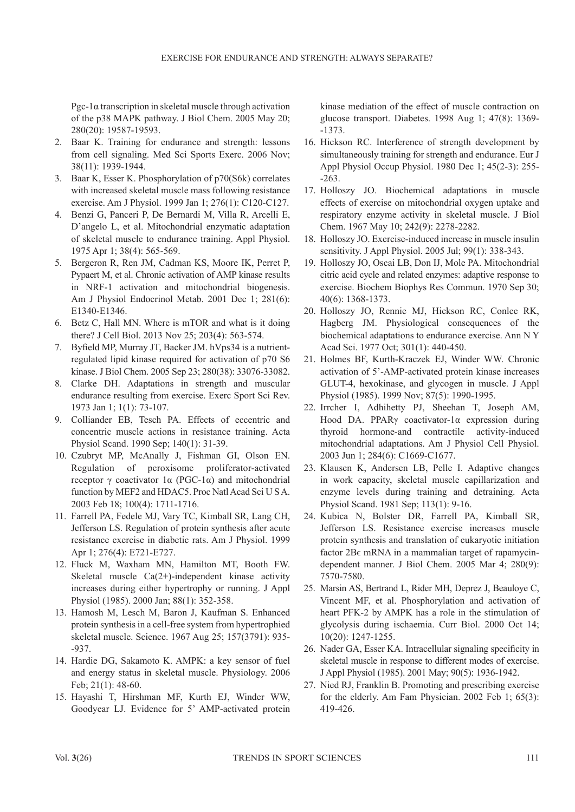Pgc-1 $\alpha$  transcription in skeletal muscle through activation of the p38 MAPK pathway. J Biol Chem. 2005 May 20; 280(20): 19587-19593.

- 2. Baar K. Training for endurance and strength: lessons from cell signaling. Med Sci Sports Exerc. 2006 Nov; 38(11): 1939-1944.
- 3. Baar K, Esser K. Phosphorylation of p70(S6k) correlates with increased skeletal muscle mass following resistance exercise. Am J Physiol. 1999 Jan 1; 276(1): C120-C127.
- 4. Benzi G, Panceri P, De Bernardi M, Villa R, Arcelli E, D'angelo L, et al. Mitochondrial enzymatic adaptation of skeletal muscle to endurance training. Appl Physiol. 1975 Apr 1; 38(4): 565-569.
- 5. Bergeron R, Ren JM, Cadman KS, Moore IK, Perret P, Pypaert M, et al. Chronic activation of AMP kinase results in NRF-1 activation and mitochondrial biogenesis. Am J Physiol Endocrinol Metab. 2001 Dec 1; 281(6): E1340-E1346.
- 6. Betz C, Hall MN. Where is mTOR and what is it doing there? J Cell Biol. 2013 Nov 25; 203(4): 563-574.
- 7. Byfield MP, Murray JT, Backer JM. hVps34 is a nutrientregulated lipid kinase required for activation of p70 S6 kinase. J Biol Chem. 2005 Sep 23; 280(38): 33076-33082.
- 8. Clarke DH. Adaptations in strength and muscular endurance resulting from exercise. Exerc Sport Sci Rev. 1973 Jan 1; 1(1): 73-107.
- 9. Colliander EB, Tesch PA. Effects of eccentric and concentric muscle actions in resistance training. Acta Physiol Scand. 1990 Sep; 140(1): 31-39.
- 10. Czubryt MP, McAnally J, Fishman GI, Olson EN. Regulation of peroxisome proliferator-activated receptor γ coactivator  $1α$  (PGC-1α) and mitochondrial function by MEF2 and HDAC5. Proc Natl Acad Sci U S A. 2003 Feb 18; 100(4): 1711-1716.
- 11. Farrell PA, Fedele MJ, Vary TC, Kimball SR, Lang CH, Jefferson LS. Regulation of protein synthesis after acute resistance exercise in diabetic rats. Am J Physiol. 1999 Apr 1; 276(4): E721-E727.
- 12. Fluck M, Waxham MN, Hamilton MT, Booth FW. Skeletal muscle Ca(2+)-independent kinase activity increases during either hypertrophy or running. J Appl Physiol (1985). 2000 Jan; 88(1): 352-358.
- 13. Hamosh M, Lesch M, Baron J, Kaufman S. Enhanced protein synthesis in a cell-free system from hypertrophied skeletal muscle. Science. 1967 Aug 25; 157(3791): 935- -937.
- 14. Hardie DG, Sakamoto K. AMPK: a key sensor of fuel and energy status in skeletal muscle. Physiology. 2006 Feb; 21(1): 48-60.
- 15. Hayashi T, Hirshman MF, Kurth EJ, Winder WW, Goodyear LJ. Evidence for 5' AMP-activated protein

kinase mediation of the effect of muscle contraction on glucose transport. Diabetes. 1998 Aug 1; 47(8): 1369- -1373.

- 16. Hickson RC. Interference of strength development by simultaneously training for strength and endurance. Eur J Appl Physiol Occup Physiol. 1980 Dec 1; 45(2-3): 255- -263.
- 17. Holloszy JO. Biochemical adaptations in muscle effects of exercise on mitochondrial oxygen uptake and respiratory enzyme activity in skeletal muscle. J Biol Chem. 1967 May 10; 242(9): 2278-2282.
- 18. Holloszy JO. Exercise-induced increase in muscle insulin sensitivity. J Appl Physiol. 2005 Jul; 99(1): 338-343.
- 19. Holloszy JO, Oscai LB, Don IJ, Mole PA. Mitochondrial citric acid cycle and related enzymes: adaptive response to exercise. Biochem Biophys Res Commun. 1970 Sep 30; 40(6): 1368-1373.
- 20. Holloszy JO, Rennie MJ, Hickson RC, Conlee RK, Hagberg JM. Physiological consequences of the biochemical adaptations to endurance exercise. Ann N Y Acad Sci. 1977 Oct; 301(1): 440-450.
- 21. Holmes BF, Kurth-Kraczek EJ, Winder WW. Chronic activation of 5'-AMP-activated protein kinase increases GLUT-4, hexokinase, and glycogen in muscle. J Appl Physiol (1985). 1999 Nov; 87(5): 1990-1995.
- 22. Irrcher I, Adhihetty PJ, Sheehan T, Joseph AM, Hood DA. PPARγ coactivator-1α expression during thyroid hormone-and contractile activity-induced mitochondrial adaptations. Am J Physiol Cell Physiol. 2003 Jun 1; 284(6): C1669-C1677.
- 23. Klausen K, Andersen LB, Pelle I. Adaptive changes in work capacity, skeletal muscle capillarization and enzyme levels during training and detraining. Acta Physiol Scand. 1981 Sep; 113(1): 9-16.
- 24. Kubica N, Bolster DR, Farrell PA, Kimball SR, Jefferson LS. Resistance exercise increases muscle protein synthesis and translation of eukaryotic initiation factor  $2B\epsilon$  mRNA in a mammalian target of rapamycindependent manner. J Biol Chem. 2005 Mar 4; 280(9): 7570-7580.
- 25. Marsin AS, Bertrand L, Rider MH, Deprez J, Beauloye C, Vincent MF, et al. Phosphorylation and activation of heart PFK-2 by AMPK has a role in the stimulation of glycolysis during ischaemia. Curr Biol. 2000 Oct 14; 10(20): 1247-1255.
- 26. Nader GA, Esser KA. Intracellular signaling specificity in skeletal muscle in response to different modes of exercise. J Appl Physiol (1985). 2001 May; 90(5): 1936-1942.
- 27. Nied RJ, Franklin B. Promoting and prescribing exercise for the elderly. Am Fam Physician. 2002 Feb 1; 65(3): 419-426.